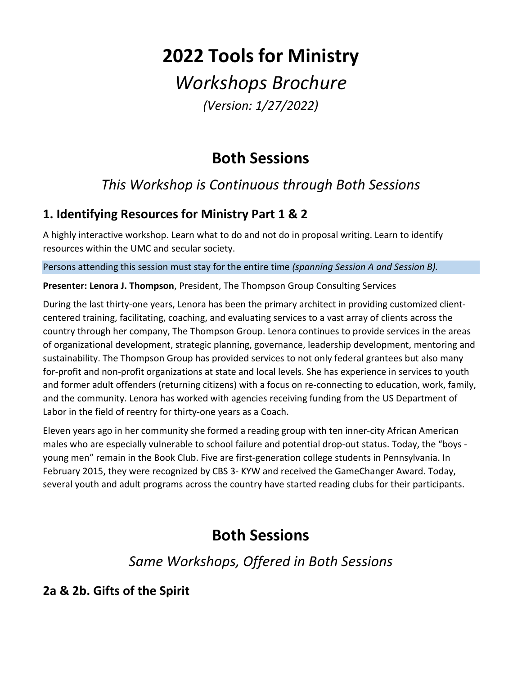## **2022 Tools for Ministry**

# *Workshops Brochure*

*(Version: 1/27/2022)*

## **Both Sessions**

## *This Workshop is Continuous through Both Sessions*

#### **1. Identifying Resources for Ministry Part 1 & 2**

A highly interactive workshop. Learn what to do and not do in proposal writing. Learn to identify resources within the UMC and secular society.

Persons attending this session must stay for the entire time *(spanning Session A and Session B).*

**Presenter: Lenora J. Thompson**, President, The Thompson Group Consulting Services

During the last thirty-one years, Lenora has been the primary architect in providing customized clientcentered training, facilitating, coaching, and evaluating services to a vast array of clients across the country through her company, The Thompson Group. Lenora continues to provide services in the areas of organizational development, strategic planning, governance, leadership development, mentoring and sustainability. The Thompson Group has provided services to not only federal grantees but also many for-profit and non-profit organizations at state and local levels. She has experience in services to youth and former adult offenders (returning citizens) with a focus on re-connecting to education, work, family, and the community. Lenora has worked with agencies receiving funding from the US Department of Labor in the field of reentry for thirty-one years as a Coach.

Eleven years ago in her community she formed a reading group with ten inner-city African American males who are especially vulnerable to school failure and potential drop-out status. Today, the "boys young men" remain in the Book Club. Five are first-generation college students in Pennsylvania. In February 2015, they were recognized by CBS 3- KYW and received the GameChanger Award. Today, several youth and adult programs across the country have started reading clubs for their participants.

## **Both Sessions**

*Same Workshops, Offered in Both Sessions*

#### **2a & 2b. Gifts of the Spirit**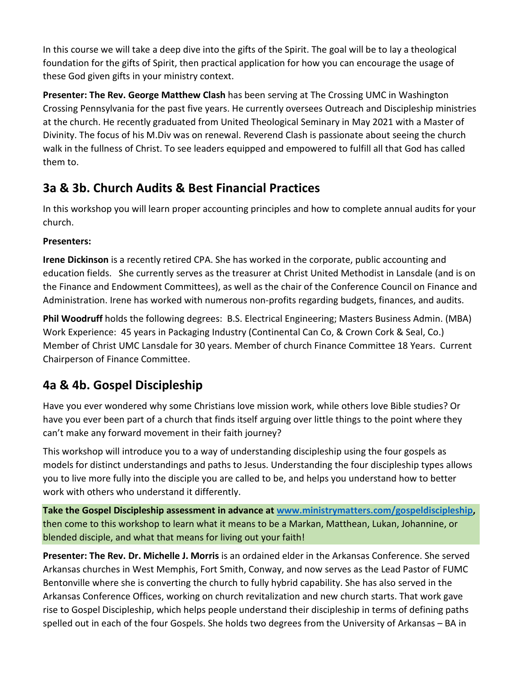In this course we will take a deep dive into the gifts of the Spirit. The goal will be to lay a theological foundation for the gifts of Spirit, then practical application for how you can encourage the usage of these God given gifts in your ministry context.

**Presenter: The Rev. George Matthew Clash** has been serving at The Crossing UMC in Washington Crossing Pennsylvania for the past five years. He currently oversees Outreach and Discipleship ministries at the church. He recently graduated from United Theological Seminary in May 2021 with a Master of Divinity. The focus of his M.Div was on renewal. Reverend Clash is passionate about seeing the church walk in the fullness of Christ. To see leaders equipped and empowered to fulfill all that God has called them to.

#### **3a & 3b. Church Audits & Best Financial Practices**

In this workshop you will learn proper accounting principles and how to complete annual audits for your church.

#### **Presenters:**

**Irene Dickinson** is a recently retired CPA. She has worked in the corporate, public accounting and education fields. She currently serves as the treasurer at Christ United Methodist in Lansdale (and is on the Finance and Endowment Committees), as well as the chair of the Conference Council on Finance and Administration. Irene has worked with numerous non-profits regarding budgets, finances, and audits.

**Phil Woodruff** holds the following degrees: B.S. Electrical Engineering; Masters Business Admin. (MBA) Work Experience: 45 years in Packaging Industry (Continental Can Co, & Crown Cork & Seal, Co.) Member of Christ UMC Lansdale for 30 years. Member of church Finance Committee 18 Years. Current Chairperson of Finance Committee.

#### **4a & 4b. Gospel Discipleship**

Have you ever wondered why some Christians love mission work, while others love Bible studies? Or have you ever been part of a church that finds itself arguing over little things to the point where they can't make any forward movement in their faith journey?

This workshop will introduce you to a way of understanding discipleship using the four gospels as models for distinct understandings and paths to Jesus. Understanding the four discipleship types allows you to live more fully into the disciple you are called to be, and helps you understand how to better work with others who understand it differently.

**Take the Gospel Discipleship assessment in advance at [www.ministrymatters.com/gospeldiscipleship,](http://www.ministrymatters.com/gospeldiscipleship)** then come to this workshop to learn what it means to be a Markan, Matthean, Lukan, Johannine, or blended disciple, and what that means for living out your faith!

**Presenter: The Rev. Dr. Michelle J. Morris** is an ordained elder in the Arkansas Conference. She served Arkansas churches in West Memphis, Fort Smith, Conway, and now serves as the Lead Pastor of FUMC Bentonville where she is converting the church to fully hybrid capability. She has also served in the Arkansas Conference Offices, working on church revitalization and new church starts. That work gave rise to Gospel Discipleship, which helps people understand their discipleship in terms of defining paths spelled out in each of the four Gospels. She holds two degrees from the University of Arkansas – BA in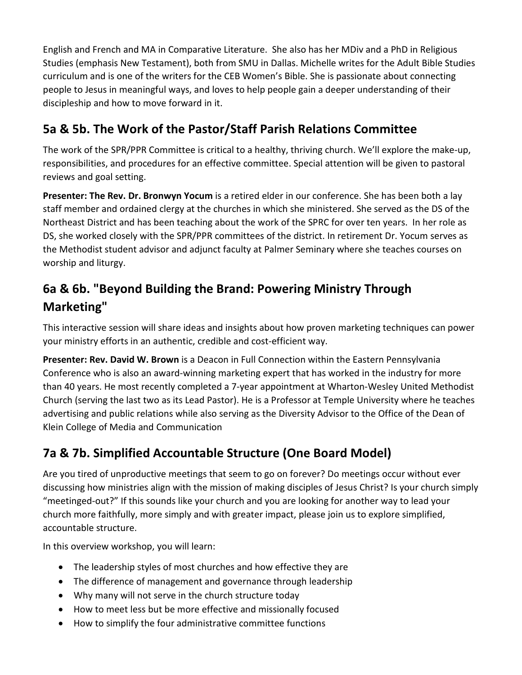English and French and MA in Comparative Literature. She also has her MDiv and a PhD in Religious Studies (emphasis New Testament), both from SMU in Dallas. Michelle writes for the Adult Bible Studies curriculum and is one of the writers for the CEB Women's Bible. She is passionate about connecting people to Jesus in meaningful ways, and loves to help people gain a deeper understanding of their discipleship and how to move forward in it.

#### **5a & 5b. The Work of the Pastor/Staff Parish Relations Committee**

The work of the SPR/PPR Committee is critical to a healthy, thriving church. We'll explore the make-up, responsibilities, and procedures for an effective committee. Special attention will be given to pastoral reviews and goal setting.

**Presenter: The Rev. Dr. Bronwyn Yocum** is a retired elder in our conference. She has been both a lay staff member and ordained clergy at the churches in which she ministered. She served as the DS of the Northeast District and has been teaching about the work of the SPRC for over ten years. In her role as DS, she worked closely with the SPR/PPR committees of the district. In retirement Dr. Yocum serves as the Methodist student advisor and adjunct faculty at Palmer Seminary where she teaches courses on worship and liturgy.

## **6a & 6b. "Beyond Building the Brand: Powering Ministry Through Marketing"**

This interactive session will share ideas and insights about how proven marketing techniques can power your ministry efforts in an authentic, credible and cost-efficient way.

**Presenter: Rev. David W. Brown** is a Deacon in Full Connection within the Eastern Pennsylvania Conference who is also an award-winning marketing expert that has worked in the industry for more than 40 years. He most recently completed a 7-year appointment at Wharton-Wesley United Methodist Church (serving the last two as its Lead Pastor). He is a Professor at Temple University where he teaches advertising and public relations while also serving as the Diversity Advisor to the Office of the Dean of Klein College of Media and Communication

### **7a & 7b. Simplified Accountable Structure (One Board Model)**

Are you tired of unproductive meetings that seem to go on forever? Do meetings occur without ever discussing how ministries align with the mission of making disciples of Jesus Christ? Is your church simply "meetinged-out?" If this sounds like your church and you are looking for another way to lead your church more faithfully, more simply and with greater impact, please join us to explore simplified, accountable structure.

In this overview workshop, you will learn:

- The leadership styles of most churches and how effective they are
- The difference of management and governance through leadership
- Why many will not serve in the church structure today
- How to meet less but be more effective and missionally focused
- How to simplify the four administrative committee functions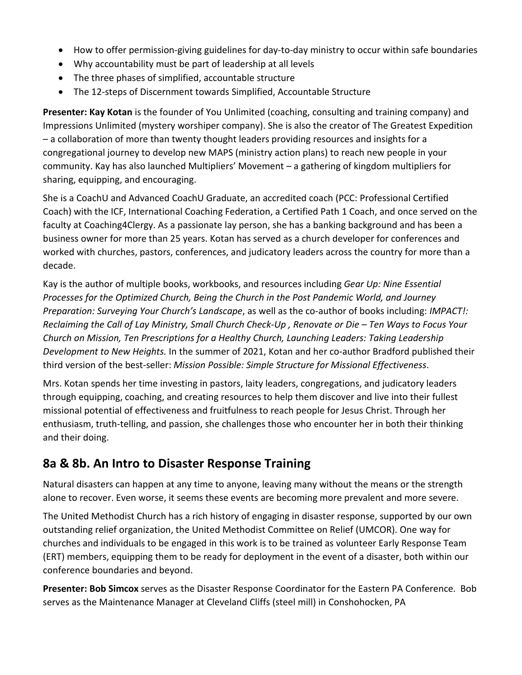- How to offer permission-giving guidelines for day-to-day ministry to occur within safe boundaries
- Why accountability must be part of leadership at all levels
- The three phases of simplified, accountable structure
- The 12-steps of Discernment towards Simplified, Accountable Structure

**Presenter: Kay Kotan** is the founder of You Unlimited (coaching, consulting and training company) and Impressions Unlimited (mystery worshiper company). She is also the creator of The Greatest Expedition – a collaboration of more than twenty thought leaders providing resources and insights for a congregational journey to develop new MAPS (ministry action plans) to reach new people in your community. Kay has also launched Multipliers' Movement – a gathering of kingdom multipliers for sharing, equipping, and encouraging.

She is a CoachU and Advanced CoachU Graduate, an accredited coach (PCC: Professional Certified Coach) with the ICF, International Coaching Federation, a Certified Path 1 Coach, and once served on the faculty at Coaching4Clergy. As a passionate lay person, she has a banking background and has been a business owner for more than 25 years. Kotan has served as a church developer for conferences and worked with churches, pastors, conferences, and judicatory leaders across the country for more than a decade.

Kay is the author of multiple books, workbooks, and resources including *Gear Up: Nine Essential Processes for the Optimized Church, Being the Church in the Post Pandemic World, and Journey Preparation: Surveying Your Church's Landscape*, as well as the co-author of books including: *IMPACT!: Reclaiming the Call of Lay Ministry, Small Church Check-Up , Renovate or Die – Ten Ways to Focus Your Church on Mission, Ten Prescriptions for a Healthy Church, Launching Leaders: Taking Leadership Development to New Heights.* In the summer of 2021, Kotan and her co-author Bradford published their third version of the best-seller: *Mission Possible: Simple Structure for Missional Effectiveness*.

Mrs. Kotan spends her time investing in pastors, laity leaders, congregations, and judicatory leaders through equipping, coaching, and creating resources to help them discover and live into their fullest missional potential of effectiveness and fruitfulness to reach people for Jesus Christ. Through her enthusiasm, truth-telling, and passion, she challenges those who encounter her in both their thinking and their doing.

#### **8a & 8b. An Intro to Disaster Response Training**

Natural disasters can happen at any time to anyone, leaving many without the means or the strength alone to recover. Even worse, it seems these events are becoming more prevalent and more severe.

The United Methodist Church has a rich history of engaging in disaster response, supported by our own outstanding relief organization, the United Methodist Committee on Relief (UMCOR). One way for churches and individuals to be engaged in this work is to be trained as volunteer Early Response Team (ERT) members, equipping them to be ready for deployment in the event of a disaster, both within our conference boundaries and beyond.

**Presenter: Bob Simcox** serves as the Disaster Response Coordinator for the Eastern PA Conference. Bob serves as the Maintenance Manager at Cleveland Cliffs (steel mill) in Conshohocken, PA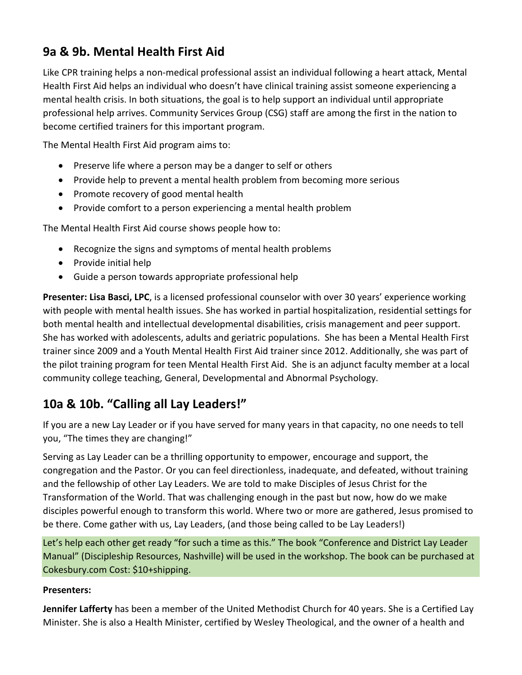#### **9a & 9b. Mental Health First Aid**

Like CPR training helps a non-medical professional assist an individual following a heart attack, Mental Health First Aid helps an individual who doesn't have clinical training assist someone experiencing a mental health crisis. In both situations, the goal is to help support an individual until appropriate professional help arrives. Community Services Group (CSG) staff are among the first in the nation to become certified trainers for this important program.

The Mental Health First Aid program aims to:

- Preserve life where a person may be a danger to self or others
- Provide help to prevent a mental health problem from becoming more serious
- Promote recovery of good mental health
- Provide comfort to a person experiencing a mental health problem

The Mental Health First Aid course shows people how to:

- Recognize the signs and symptoms of mental health problems
- Provide initial help
- Guide a person towards appropriate professional help

**Presenter: Lisa Basci, LPC**, is a licensed professional counselor with over 30 years' experience working with people with mental health issues. She has worked in partial hospitalization, residential settings for both mental health and intellectual developmental disabilities, crisis management and peer support. She has worked with adolescents, adults and geriatric populations. She has been a Mental Health First trainer since 2009 and a Youth Mental Health First Aid trainer since 2012. Additionally, she was part of the pilot training program for teen Mental Health First Aid. She is an adjunct faculty member at a local community college teaching, General, Developmental and Abnormal Psychology.

#### **10a & 10b. "Calling all Lay Leaders!"**

If you are a new Lay Leader or if you have served for many years in that capacity, no one needs to tell you, "The times they are changing!"

Serving as Lay Leader can be a thrilling opportunity to empower, encourage and support, the congregation and the Pastor. Or you can feel directionless, inadequate, and defeated, without training and the fellowship of other Lay Leaders. We are told to make Disciples of Jesus Christ for the Transformation of the World. That was challenging enough in the past but now, how do we make disciples powerful enough to transform this world. Where two or more are gathered, Jesus promised to be there. Come gather with us, Lay Leaders, (and those being called to be Lay Leaders!)

Let's help each other get ready "for such a time as this." The book "Conference and District Lay Leader Manual" (Discipleship Resources, Nashville) will be used in the workshop. The book can be purchased at Cokesbury.com Cost: \$10+shipping.

#### **Presenters:**

**Jennifer Lafferty** has been a member of the United Methodist Church for 40 years. She is a Certified Lay Minister. She is also a Health Minister, certified by Wesley Theological, and the owner of a health and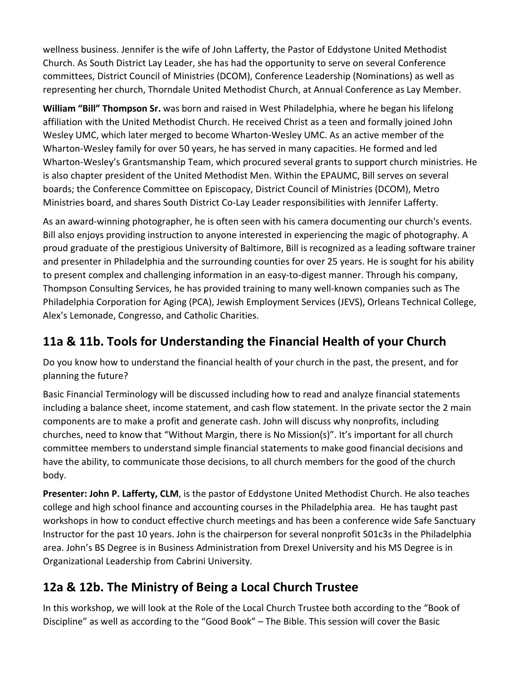wellness business. Jennifer is the wife of John Lafferty, the Pastor of Eddystone United Methodist Church. As South District Lay Leader, she has had the opportunity to serve on several Conference committees, District Council of Ministries (DCOM), Conference Leadership (Nominations) as well as representing her church, Thorndale United Methodist Church, at Annual Conference as Lay Member.

**William "Bill" Thompson Sr.** was born and raised in West Philadelphia, where he began his lifelong affiliation with the United Methodist Church. He received Christ as a teen and formally joined John Wesley UMC, which later merged to become Wharton-Wesley UMC. As an active member of the Wharton-Wesley family for over 50 years, he has served in many capacities. He formed and led Wharton-Wesley's Grantsmanship Team, which procured several grants to support church ministries. He is also chapter president of the United Methodist Men. Within the EPAUMC, Bill serves on several boards; the Conference Committee on Episcopacy, District Council of Ministries (DCOM), Metro Ministries board, and shares South District Co-Lay Leader responsibilities with Jennifer Lafferty.

As an award-winning photographer, he is often seen with his camera documenting our church's events. Bill also enjoys providing instruction to anyone interested in experiencing the magic of photography. A proud graduate of the prestigious University of Baltimore, Bill is recognized as a leading software trainer and presenter in Philadelphia and the surrounding counties for over 25 years. He is sought for his ability to present complex and challenging information in an easy-to-digest manner. Through his company, Thompson Consulting Services, he has provided training to many well-known companies such as The Philadelphia Corporation for Aging (PCA), Jewish Employment Services (JEVS), Orleans Technical College, Alex's Lemonade, Congresso, and Catholic Charities.

### **11a & 11b. Tools for Understanding the Financial Health of your Church**

Do you know how to understand the financial health of your church in the past, the present, and for planning the future?

Basic Financial Terminology will be discussed including how to read and analyze financial statements including a balance sheet, income statement, and cash flow statement. In the private sector the 2 main components are to make a profit and generate cash. John will discuss why nonprofits, including churches, need to know that "Without Margin, there is No Mission(s)". It's important for all church committee members to understand simple financial statements to make good financial decisions and have the ability, to communicate those decisions, to all church members for the good of the church body.

**Presenter: John P. Lafferty, CLM**, is the pastor of Eddystone United Methodist Church. He also teaches college and high school finance and accounting courses in the Philadelphia area. He has taught past workshops in how to conduct effective church meetings and has been a conference wide Safe Sanctuary Instructor for the past 10 years. John is the chairperson for several nonprofit 501c3s in the Philadelphia area. John's BS Degree is in Business Administration from Drexel University and his MS Degree is in Organizational Leadership from Cabrini University.

### **12a & 12b. The Ministry of Being a Local Church Trustee**

In this workshop, we will look at the Role of the Local Church Trustee both according to the "Book of Discipline" as well as according to the "Good Book" – The Bible. This session will cover the Basic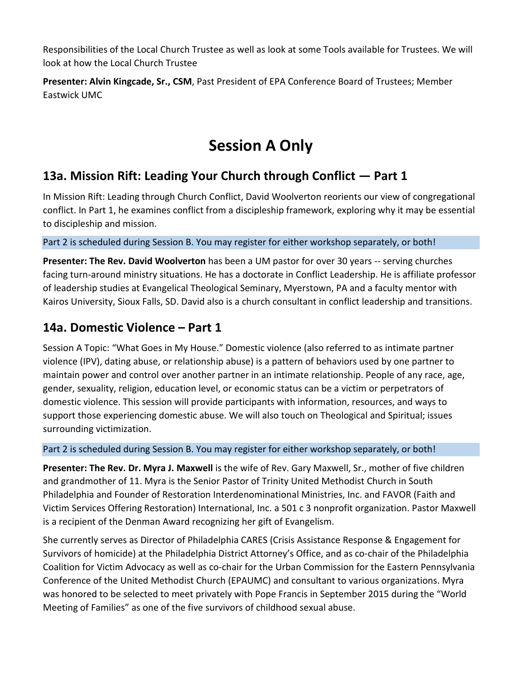Responsibilities of the Local Church Trustee as well as look at some Tools available for Trustees. We will look at how the Local Church Trustee

**Presenter: Alvin Kingcade, Sr., CSM**, Past President of EPA Conference Board of Trustees; Member Eastwick UMC

## **Session A Only**

#### **13a. Mission Rift: Leading Your Church through Conflict — Part 1**

In Mission Rift: Leading through Church Conflict, David Woolverton reorients our view of congregational conflict. In Part 1, he examines conflict from a discipleship framework, exploring why it may be essential to discipleship and mission.

Part 2 is scheduled during Session B. You may register for either workshop separately, or both!

**Presenter: The Rev. David Woolverton** has been a UM pastor for over 30 years -- serving churches facing turn-around ministry situations. He has a doctorate in Conflict Leadership. He is affiliate professor of leadership studies at Evangelical Theological Seminary, Myerstown, PA and a faculty mentor with Kairos University, Sioux Falls, SD. David also is a church consultant in conflict leadership and transitions.

#### **14a. Domestic Violence – Part 1**

Session A Topic: "What Goes in My House." Domestic violence (also referred to as intimate partner violence (IPV), dating abuse, or relationship abuse) is a pattern of behaviors used by one partner to maintain power and control over another partner in an intimate relationship. People of any race, age, gender, sexuality, religion, education level, or economic status can be a victim or perpetrators of domestic violence. This session will provide participants with information, resources, and ways to support those experiencing domestic abuse. We will also touch on Theological and Spiritual; issues surrounding victimization.

#### Part 2 is scheduled during Session B. You may register for either workshop separately, or both!

**Presenter: The Rev. Dr. Myra J. Maxwell** is the wife of Rev. Gary Maxwell, Sr., mother of five children and grandmother of 11. Myra is the Senior Pastor of Trinity United Methodist Church in South Philadelphia and Founder of Restoration Interdenominational Ministries, Inc. and FAVOR (Faith and Victim Services Offering Restoration) International, Inc. a 501 c 3 nonprofit organization. Pastor Maxwell is a recipient of the Denman Award recognizing her gift of Evangelism.

She currently serves as Director of Philadelphia CARES (Crisis Assistance Response & Engagement for Survivors of homicide) at the Philadelphia District Attorney's Office, and as co-chair of the Philadelphia Coalition for Victim Advocacy as well as co-chair for the Urban Commission for the Eastern Pennsylvania Conference of the United Methodist Church (EPAUMC) and consultant to various organizations. Myra was honored to be selected to meet privately with Pope Francis in September 2015 during the "World Meeting of Families" as one of the five survivors of childhood sexual abuse.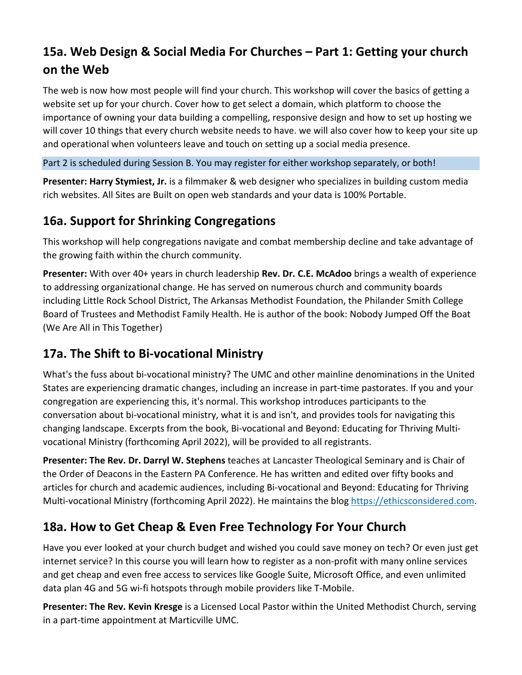## **15a. Web Design & Social Media For Churches – Part 1: Getting your church on the Web**

The web is now how most people will find your church. This workshop will cover the basics of getting a website set up for your church. Cover how to get select a domain, which platform to choose the importance of owning your data building a compelling, responsive design and how to set up hosting we will cover 10 things that every church website needs to have. we will also cover how to keep your site up and operational when volunteers leave and touch on setting up a social media presence.

Part 2 is scheduled during Session B. You may register for either workshop separately, or both!

**Presenter: Harry Stymiest, Jr.** is a filmmaker & web designer who specializes in building custom media rich websites. All Sites are Built on open web standards and your data is 100% Portable.

#### **16a. Support for Shrinking Congregations**

This workshop will help congregations navigate and combat membership decline and take advantage of the growing faith within the church community.

**Presenter:** With over 40+ years in church leadership **Rev. Dr. C.E. McAdoo** brings a wealth of experience to addressing organizational change. He has served on numerous church and community boards including Little Rock School District, The Arkansas Methodist Foundation, the Philander Smith College Board of Trustees and Methodist Family Health. He is author of the book: Nobody Jumped Off the Boat (We Are All in This Together)

#### **17a. The Shift to Bi-vocational Ministry**

What's the fuss about bi-vocational ministry? The UMC and other mainline denominations in the United States are experiencing dramatic changes, including an increase in part-time pastorates. If you and your congregation are experiencing this, it's normal. This workshop introduces participants to the conversation about bi-vocational ministry, what it is and isn't, and provides tools for navigating this changing landscape. Excerpts from the book, Bi-vocational and Beyond: Educating for Thriving Multivocational Ministry (forthcoming April 2022), will be provided to all registrants.

**Presenter: The Rev. Dr. Darryl W. Stephens** teaches at Lancaster Theological Seminary and is Chair of the Order of Deacons in the Eastern PA Conference. He has written and edited over fifty books and articles for church and academic audiences, including Bi-vocational and Beyond: Educating for Thriving Multi-vocational Ministry (forthcoming April 2022). He maintains the blog [https://ethicsconsidered.com.](https://ethicsconsidered.com/)

#### **18a. How to Get Cheap & Even Free Technology For Your Church**

Have you ever looked at your church budget and wished you could save money on tech? Or even just get internet service? In this course you will learn how to register as a non-profit with many online services and get cheap and even free access to services like Google Suite, Microsoft Office, and even unlimited data plan 4G and 5G wi-fi hotspots through mobile providers like T-Mobile.

**Presenter: The Rev. Kevin Kresge** is a Licensed Local Pastor within the United Methodist Church, serving in a part-time appointment at Marticville UMC.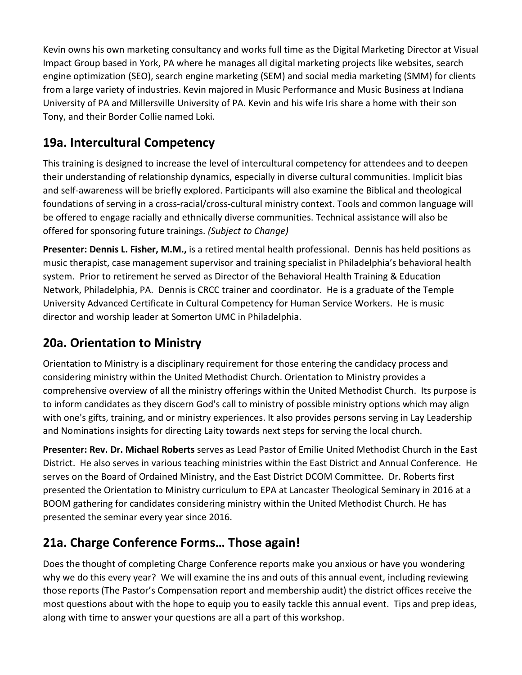Kevin owns his own marketing consultancy and works full time as the Digital Marketing Director at Visual Impact Group based in York, PA where he manages all digital marketing projects like websites, search engine optimization (SEO), search engine marketing (SEM) and social media marketing (SMM) for clients from a large variety of industries. Kevin majored in Music Performance and Music Business at Indiana University of PA and Millersville University of PA. Kevin and his wife Iris share a home with their son Tony, and their Border Collie named Loki.

#### **19a. Intercultural Competency**

This training is designed to increase the level of intercultural competency for attendees and to deepen their understanding of relationship dynamics, especially in diverse cultural communities. Implicit bias and self-awareness will be briefly explored. Participants will also examine the Biblical and theological foundations of serving in a cross-racial/cross-cultural ministry context. Tools and common language will be offered to engage racially and ethnically diverse communities. Technical assistance will also be offered for sponsoring future trainings. *(Subject to Change)*

**Presenter: Dennis L. Fisher, M.M.,** is a retired mental health professional. Dennis has held positions as music therapist, case management supervisor and training specialist in Philadelphia's behavioral health system. Prior to retirement he served as Director of the Behavioral Health Training & Education Network, Philadelphia, PA. Dennis is CRCC trainer and coordinator. He is a graduate of the Temple University Advanced Certificate in Cultural Competency for Human Service Workers. He is music director and worship leader at Somerton UMC in Philadelphia.

#### **20a. Orientation to Ministry**

Orientation to Ministry is a disciplinary requirement for those entering the candidacy process and considering ministry within the United Methodist Church. Orientation to Ministry provides a comprehensive overview of all the ministry offerings within the United Methodist Church. Its purpose is to inform candidates as they discern God's call to ministry of possible ministry options which may align with one's gifts, training, and or ministry experiences. It also provides persons serving in Lay Leadership and Nominations insights for directing Laity towards next steps for serving the local church.

**Presenter: Rev. Dr. Michael Roberts** serves as Lead Pastor of Emilie United Methodist Church in the East District. He also serves in various teaching ministries within the East District and Annual Conference. He serves on the Board of Ordained Ministry, and the East District DCOM Committee. Dr. Roberts first presented the Orientation to Ministry curriculum to EPA at Lancaster Theological Seminary in 2016 at a BOOM gathering for candidates considering ministry within the United Methodist Church. He has presented the seminar every year since 2016.

#### **21a. Charge Conference Forms… Those again!**

Does the thought of completing Charge Conference reports make you anxious or have you wondering why we do this every year? We will examine the ins and outs of this annual event, including reviewing those reports (The Pastor's Compensation report and membership audit) the district offices receive the most questions about with the hope to equip you to easily tackle this annual event. Tips and prep ideas, along with time to answer your questions are all a part of this workshop.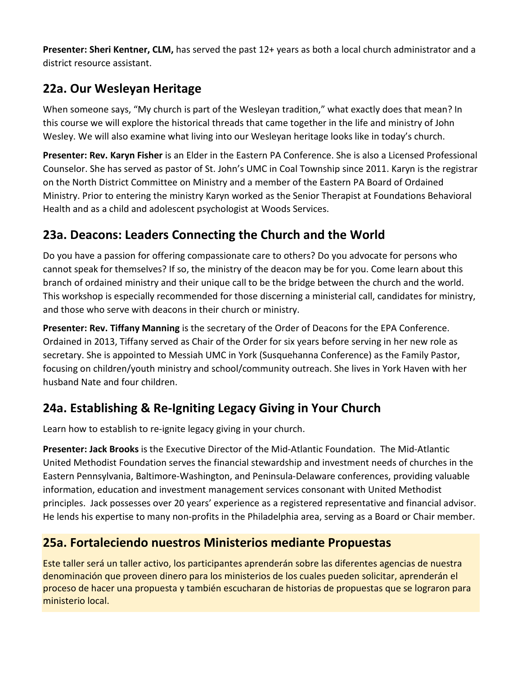**Presenter: Sheri Kentner, CLM,** has served the past 12+ years as both a local church administrator and a district resource assistant.

#### **22a. Our Wesleyan Heritage**

When someone says, "My church is part of the Wesleyan tradition," what exactly does that mean? In this course we will explore the historical threads that came together in the life and ministry of John Wesley. We will also examine what living into our Wesleyan heritage looks like in today's church.

**Presenter: Rev. Karyn Fisher** is an Elder in the Eastern PA Conference. She is also a Licensed Professional Counselor. She has served as pastor of St. John's UMC in Coal Township since 2011. Karyn is the registrar on the North District Committee on Ministry and a member of the Eastern PA Board of Ordained Ministry. Prior to entering the ministry Karyn worked as the Senior Therapist at Foundations Behavioral Health and as a child and adolescent psychologist at Woods Services.

#### **23a. Deacons: Leaders Connecting the Church and the World**

Do you have a passion for offering compassionate care to others? Do you advocate for persons who cannot speak for themselves? If so, the ministry of the deacon may be for you. Come learn about this branch of ordained ministry and their unique call to be the bridge between the church and the world. This workshop is especially recommended for those discerning a ministerial call, candidates for ministry, and those who serve with deacons in their church or ministry.

**Presenter: Rev. Tiffany Manning** is the secretary of the Order of Deacons for the EPA Conference. Ordained in 2013, Tiffany served as Chair of the Order for six years before serving in her new role as secretary. She is appointed to Messiah UMC in York (Susquehanna Conference) as the Family Pastor, focusing on children/youth ministry and school/community outreach. She lives in York Haven with her husband Nate and four children.

#### **24a. Establishing & Re-Igniting Legacy Giving in Your Church**

Learn how to establish to re-ignite legacy giving in your church.

**Presenter: Jack Brooks** is the Executive Director of the Mid-Atlantic Foundation. The Mid-Atlantic United Methodist Foundation serves the financial stewardship and investment needs of churches in the Eastern Pennsylvania, Baltimore-Washington, and Peninsula-Delaware conferences, providing valuable information, education and investment management services consonant with United Methodist principles. Jack possesses over 20 years' experience as a registered representative and financial advisor. He lends his expertise to many non-profits in the Philadelphia area, serving as a Board or Chair member.

#### **25a. Fortaleciendo nuestros Ministerios mediante Propuestas**

Este taller será un taller activo, los participantes aprenderán sobre las diferentes agencias de nuestra denominación que proveen dinero para los ministerios de los cuales pueden solicitar, aprenderán el proceso de hacer una propuesta y también escucharan de historias de propuestas que se lograron para ministerio local.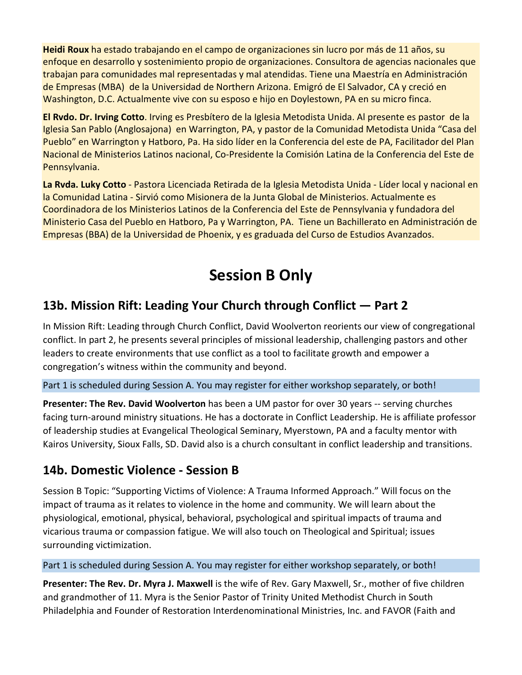**Heidi Roux** ha estado trabajando en el campo de organizaciones sin lucro por más de 11 años, su enfoque en desarrollo y sostenimiento propio de organizaciones. Consultora de agencias nacionales que trabajan para comunidades mal representadas y mal atendidas. Tiene una Maestría en Administración de Empresas (MBA) de la Universidad de Northern Arizona. Emigró de El Salvador, CA y creció en Washington, D.C. Actualmente vive con su esposo e hijo en Doylestown, PA en su micro finca.

**El Rvdo. Dr. Irving Cotto**. Irving es Presbítero de la Iglesia Metodista Unida. Al presente es pastor de la Iglesia San Pablo (Anglosajona) en Warrington, PA, y pastor de la Comunidad Metodista Unida "Casa del Pueblo" en Warrington y Hatboro, Pa. Ha sido líder en la Conferencia del este de PA, Facilitador del Plan Nacional de Ministerios Latinos nacional, Co-Presidente la Comisión Latina de la Conferencia del Este de Pennsylvania.

**La Rvda. Luky Cotto** - Pastora Licenciada Retirada de la Iglesia Metodista Unida - Líder local y nacional en la Comunidad Latina - Sirvió como Misionera de la Junta Global de Ministerios. Actualmente es Coordinadora de los Ministerios Latinos de la Conferencia del Este de Pennsylvania y fundadora del Ministerio Casa del Pueblo en Hatboro, Pa y Warrington, PA. Tiene un Bachillerato en Administración de Empresas (BBA) de la Universidad de Phoenix, y es graduada del Curso de Estudios Avanzados.

## **Session B Only**

#### **13b. Mission Rift: Leading Your Church through Conflict — Part 2**

In Mission Rift: Leading through Church Conflict, David Woolverton reorients our view of congregational conflict. In part 2, he presents several principles of missional leadership, challenging pastors and other leaders to create environments that use conflict as a tool to facilitate growth and empower a congregation's witness within the community and beyond.

Part 1 is scheduled during Session A. You may register for either workshop separately, or both!

**Presenter: The Rev. David Woolverton** has been a UM pastor for over 30 years -- serving churches facing turn-around ministry situations. He has a doctorate in Conflict Leadership. He is affiliate professor of leadership studies at Evangelical Theological Seminary, Myerstown, PA and a faculty mentor with Kairos University, Sioux Falls, SD. David also is a church consultant in conflict leadership and transitions.

#### **14b. Domestic Violence - Session B**

Session B Topic: "Supporting Victims of Violence: A Trauma Informed Approach." Will focus on the impact of trauma as it relates to violence in the home and community. We will learn about the physiological, emotional, physical, behavioral, psychological and spiritual impacts of trauma and vicarious trauma or compassion fatigue. We will also touch on Theological and Spiritual; issues surrounding victimization.

#### Part 1 is scheduled during Session A. You may register for either workshop separately, or both!

**Presenter: The Rev. Dr. Myra J. Maxwell** is the wife of Rev. Gary Maxwell, Sr., mother of five children and grandmother of 11. Myra is the Senior Pastor of Trinity United Methodist Church in South Philadelphia and Founder of Restoration Interdenominational Ministries, Inc. and FAVOR (Faith and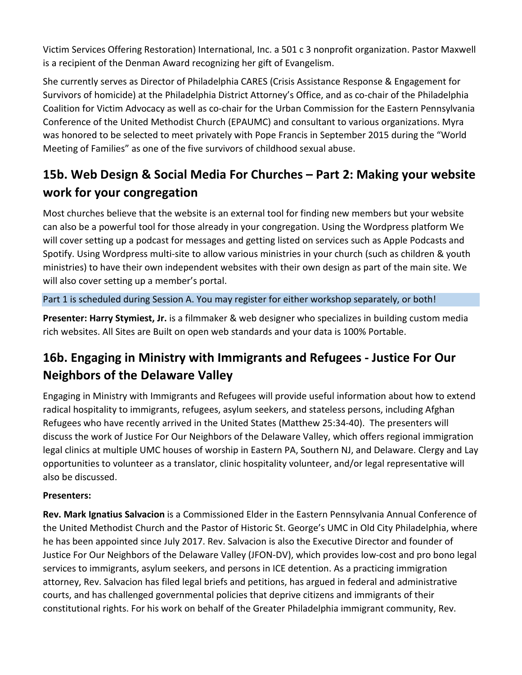Victim Services Offering Restoration) International, Inc. a 501 c 3 nonprofit organization. Pastor Maxwell is a recipient of the Denman Award recognizing her gift of Evangelism.

She currently serves as Director of Philadelphia CARES (Crisis Assistance Response & Engagement for Survivors of homicide) at the Philadelphia District Attorney's Office, and as co-chair of the Philadelphia Coalition for Victim Advocacy as well as co-chair for the Urban Commission for the Eastern Pennsylvania Conference of the United Methodist Church (EPAUMC) and consultant to various organizations. Myra was honored to be selected to meet privately with Pope Francis in September 2015 during the "World Meeting of Families" as one of the five survivors of childhood sexual abuse.

## **15b. Web Design & Social Media For Churches – Part 2: Making your website work for your congregation**

Most churches believe that the website is an external tool for finding new members but your website can also be a powerful tool for those already in your congregation. Using the Wordpress platform We will cover setting up a podcast for messages and getting listed on services such as Apple Podcasts and Spotify. Using Wordpress multi-site to allow various ministries in your church (such as children & youth ministries) to have their own independent websites with their own design as part of the main site. We will also cover setting up a member's portal.

#### Part 1 is scheduled during Session A. You may register for either workshop separately, or both!

**Presenter: Harry Stymiest, Jr.** is a filmmaker & web designer who specializes in building custom media rich websites. All Sites are Built on open web standards and your data is 100% Portable.

### **16b. Engaging in Ministry with Immigrants and Refugees - Justice For Our Neighbors of the Delaware Valley**

Engaging in Ministry with Immigrants and Refugees will provide useful information about how to extend radical hospitality to immigrants, refugees, asylum seekers, and stateless persons, including Afghan Refugees who have recently arrived in the United States (Matthew 25:34-40). The presenters will discuss the work of Justice For Our Neighbors of the Delaware Valley, which offers regional immigration legal clinics at multiple UMC houses of worship in Eastern PA, Southern NJ, and Delaware. Clergy and Lay opportunities to volunteer as a translator, clinic hospitality volunteer, and/or legal representative will also be discussed.

#### **Presenters:**

**Rev. Mark Ignatius Salvacion** is a Commissioned Elder in the Eastern Pennsylvania Annual Conference of the United Methodist Church and the Pastor of Historic St. George's UMC in Old City Philadelphia, where he has been appointed since July 2017. Rev. Salvacion is also the Executive Director and founder of Justice For Our Neighbors of the Delaware Valley (JFON-DV), which provides low-cost and pro bono legal services to immigrants, asylum seekers, and persons in ICE detention. As a practicing immigration attorney, Rev. Salvacion has filed legal briefs and petitions, has argued in federal and administrative courts, and has challenged governmental policies that deprive citizens and immigrants of their constitutional rights. For his work on behalf of the Greater Philadelphia immigrant community, Rev.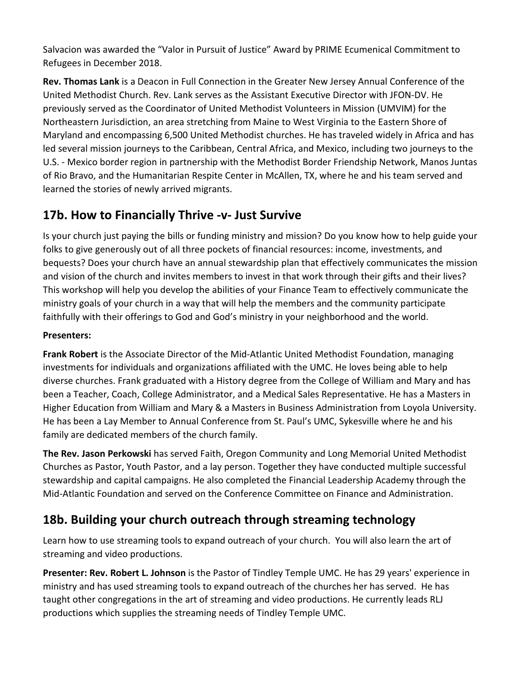Salvacion was awarded the "Valor in Pursuit of Justice" Award by PRIME Ecumenical Commitment to Refugees in December 2018.

**Rev. Thomas Lank** is a Deacon in Full Connection in the Greater New Jersey Annual Conference of the United Methodist Church. Rev. Lank serves as the Assistant Executive Director with JFON-DV. He previously served as the Coordinator of United Methodist Volunteers in Mission (UMVIM) for the Northeastern Jurisdiction, an area stretching from Maine to West Virginia to the Eastern Shore of Maryland and encompassing 6,500 United Methodist churches. He has traveled widely in Africa and has led several mission journeys to the Caribbean, Central Africa, and Mexico, including two journeys to the U.S. - Mexico border region in partnership with the Methodist Border Friendship Network, Manos Juntas of Rio Bravo, and the Humanitarian Respite Center in McAllen, TX, where he and his team served and learned the stories of newly arrived migrants.

#### **17b. How to Financially Thrive -v- Just Survive**

Is your church just paying the bills or funding ministry and mission? Do you know how to help guide your folks to give generously out of all three pockets of financial resources: income, investments, and bequests? Does your church have an annual stewardship plan that effectively communicates the mission and vision of the church and invites members to invest in that work through their gifts and their lives? This workshop will help you develop the abilities of your Finance Team to effectively communicate the ministry goals of your church in a way that will help the members and the community participate faithfully with their offerings to God and God's ministry in your neighborhood and the world.

#### **Presenters:**

**Frank Robert** is the Associate Director of the Mid-Atlantic United Methodist Foundation, managing investments for individuals and organizations affiliated with the UMC. He loves being able to help diverse churches. Frank graduated with a History degree from the College of William and Mary and has been a Teacher, Coach, College Administrator, and a Medical Sales Representative. He has a Masters in Higher Education from William and Mary & a Masters in Business Administration from Loyola University. He has been a Lay Member to Annual Conference from St. Paul's UMC, Sykesville where he and his family are dedicated members of the church family.

**The Rev. Jason Perkowski** has served Faith, Oregon Community and Long Memorial United Methodist Churches as Pastor, Youth Pastor, and a lay person. Together they have conducted multiple successful stewardship and capital campaigns. He also completed the Financial Leadership Academy through the Mid-Atlantic Foundation and served on the Conference Committee on Finance and Administration.

#### **18b. Building your church outreach through streaming technology**

Learn how to use streaming tools to expand outreach of your church. You will also learn the art of streaming and video productions.

**Presenter: Rev. Robert L. Johnson** is the Pastor of Tindley Temple UMC. He has 29 years' experience in ministry and has used streaming tools to expand outreach of the churches her has served. He has taught other congregations in the art of streaming and video productions. He currently leads RLJ productions which supplies the streaming needs of Tindley Temple UMC.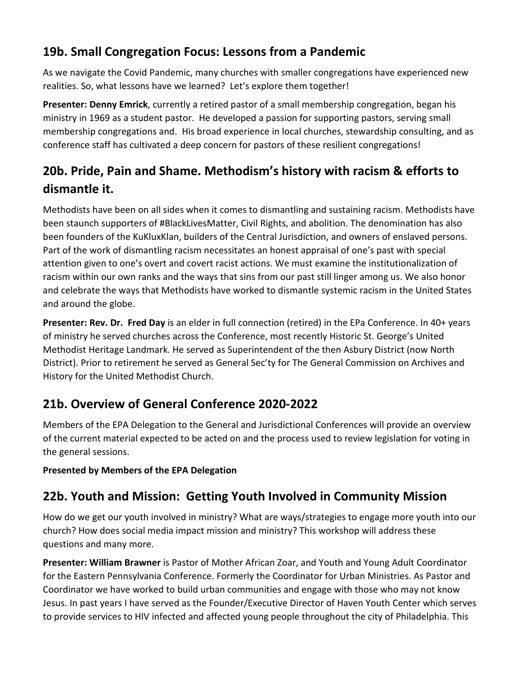#### **19b. Small Congregation Focus: Lessons from a Pandemic**

As we navigate the Covid Pandemic, many churches with smaller congregations have experienced new realities. So, what lessons have we learned? Let's explore them together!

**Presenter: Denny Emrick**, currently a retired pastor of a small membership congregation, began his ministry in 1969 as a student pastor. He developed a passion for supporting pastors, serving small membership congregations and. His broad experience in local churches, stewardship consulting, and as conference staff has cultivated a deep concern for pastors of these resilient congregations!

### **20b. Pride, Pain and Shame. Methodism's history with racism & efforts to dismantle it.**

Methodists have been on all sides when it comes to dismantling and sustaining racism. Methodists have been staunch supporters of #BlackLivesMatter, Civil Rights, and abolition. The denomination has also been founders of the KuKluxKlan, builders of the Central Jurisdiction, and owners of enslaved persons. Part of the work of dismantling racism necessitates an honest appraisal of one's past with special attention given to one's overt and covert racist actions. We must examine the institutionalization of racism within our own ranks and the ways that sins from our past still linger among us. We also honor and celebrate the ways that Methodists have worked to dismantle systemic racism in the United States and around the globe.

**Presenter: Rev. Dr. Fred Day** is an elder in full connection (retired) in the EPa Conference. In 40+ years of ministry he served churches across the Conference, most recently Historic St. George's United Methodist Heritage Landmark. He served as Superintendent of the then Asbury District (now North District). Prior to retirement he served as General Sec'ty for The General Commission on Archives and History for the United Methodist Church.

### **21b. Overview of General Conference 2020-2022**

Members of the EPA Delegation to the General and Jurisdictional Conferences will provide an overview of the current material expected to be acted on and the process used to review legislation for voting in the general sessions.

#### **Presented by Members of the EPA Delegation**

#### **22b. Youth and Mission: Getting Youth Involved in Community Mission**

How do we get our youth involved in ministry? What are ways/strategies to engage more youth into our church? How does social media impact mission and ministry? This workshop will address these questions and many more.

**Presenter: William Brawner** is Pastor of Mother African Zoar, and Youth and Young Adult Coordinator for the Eastern Pennsylvania Conference. Formerly the Coordinator for Urban Ministries. As Pastor and Coordinator we have worked to build urban communities and engage with those who may not know Jesus. In past years I have served as the Founder/Executive Director of Haven Youth Center which serves to provide services to HIV infected and affected young people throughout the city of Philadelphia. This